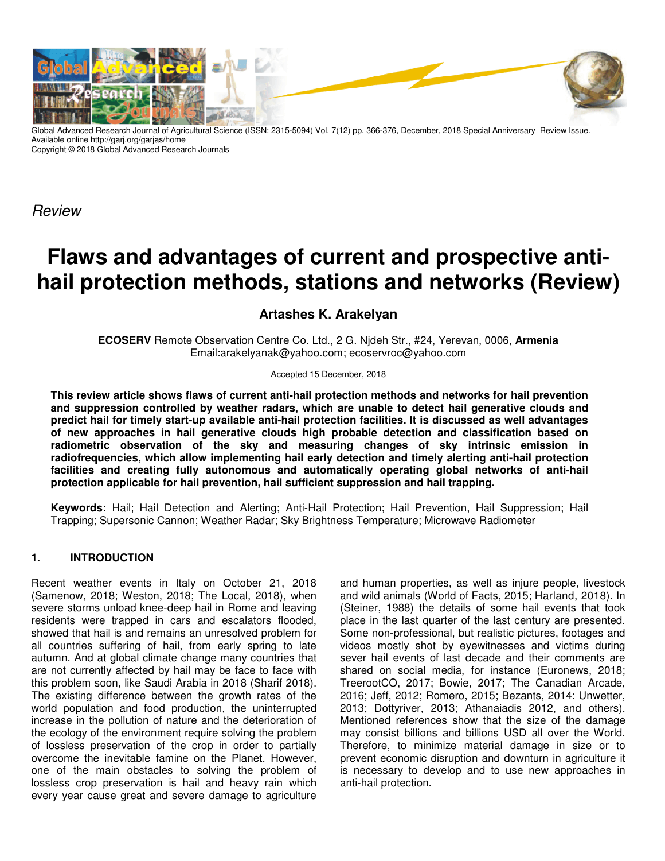

Global Advanced Research Journal of Agricultural Science (ISSN: 2315-5094) Vol. 7(12) pp. 366-376, December, 2018 Special Anniversary Review Issue. Available online http://garj.org/garjas/home Copyright © 2018 Global Advanced Research Journals

**Review** 

# **Flaws and advantages of current and prospective antihail protection methods, stations and networks (Review)**

# **Artashes K. Arakelyan**

**ECOSERV** Remote Observation Centre Co. Ltd., 2 G. Njdeh Str., #24, Yerevan, 0006, **Armenia**  Email:arakelyanak@yahoo.com; ecoservroc@yahoo.com

#### Accepted 15 December, 2018

**This review article shows flaws of current anti-hail protection methods and networks for hail prevention and suppression controlled by weather radars, which are unable to detect hail generative clouds and predict hail for timely start-up available anti-hail protection facilities. It is discussed as well advantages of new approaches in hail generative clouds high probable detection and classification based on radiometric observation of the sky and measuring changes of sky intrinsic emission in radiofrequencies, which allow implementing hail early detection and timely alerting anti-hail protection facilities and creating fully autonomous and automatically operating global networks of anti-hail protection applicable for hail prevention, hail sufficient suppression and hail trapping.** 

**Keywords:** Hail; Hail Detection and Alerting; Anti-Hail Protection; Hail Prevention, Hail Suppression; Hail Trapping; Supersonic Cannon; Weather Radar; Sky Brightness Temperature; Microwave Radiometer

## **1. INTRODUCTION**

Recent weather events in Italy on October 21, 2018 (Samenow, 2018; Weston, 2018; The Local, 2018), when severe storms unload knee-deep hail in Rome and leaving residents were trapped in cars and escalators flooded, showed that hail is and remains an unresolved problem for all countries suffering of hail, from early spring to late autumn. And at global climate change many countries that are not currently affected by hail may be face to face with this problem soon, like Saudi Arabia in 2018 (Sharif 2018). The existing difference between the growth rates of the world population and food production, the uninterrupted increase in the pollution of nature and the deterioration of the ecology of the environment require solving the problem of lossless preservation of the crop in order to partially overcome the inevitable famine on the Planet. However, one of the main obstacles to solving the problem of lossless crop preservation is hail and heavy rain which every year cause great and severe damage to agriculture

and human properties, as well as injure people, livestock and wild animals (World of Facts, 2015; Harland, 2018). In (Steiner, 1988) the details of some hail events that took place in the last quarter of the last century are presented. Some non-professional, but realistic pictures, footages and videos mostly shot by eyewitnesses and victims during sever hail events of last decade and their comments are shared on social media, for instance (Euronews, 2018; TreerootCO, 2017; Bowie, 2017; The Canadian Arcade, 2016; Jeff, 2012; Romero, 2015; Bezants, 2014: Unwetter, 2013; Dottyriver, 2013; Athanaiadis 2012, and others). Mentioned references show that the size of the damage may consist billions and billions USD all over the World. Therefore, to minimize material damage in size or to prevent economic disruption and downturn in agriculture it is necessary to develop and to use new approaches in anti-hail protection.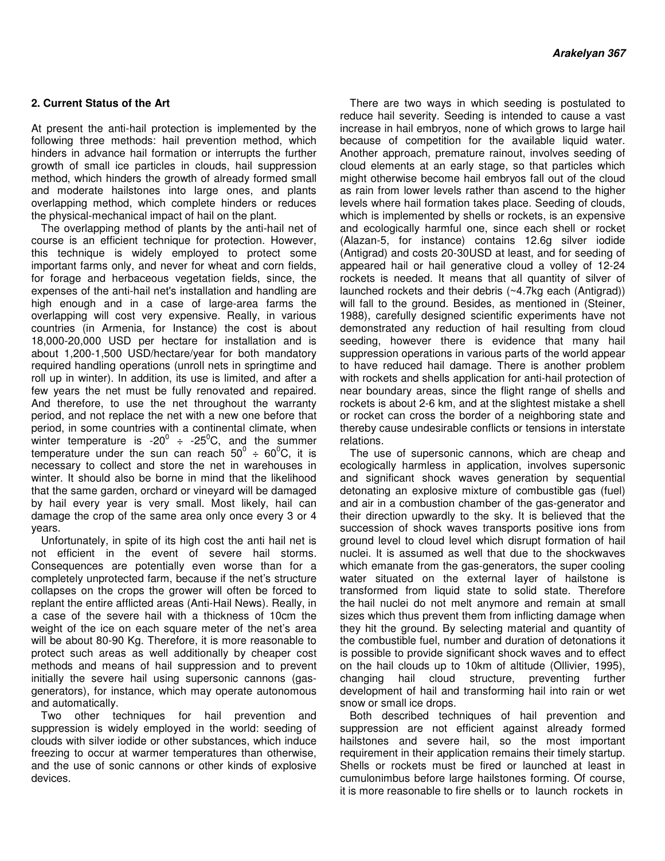#### **2. Current Status of the Art**

At present the anti-hail protection is implemented by the following three methods: hail prevention method, which hinders in advance hail formation or interrupts the further growth of small ice particles in clouds, hail suppression method, which hinders the growth of already formed small and moderate hailstones into large ones, and plants overlapping method, which complete hinders or reduces the physical-mechanical impact of hail on the plant.

The overlapping method of plants by the anti-hail net of course is an efficient technique for protection. However, this technique is widely employed to protect some important farms only, and never for wheat and corn fields, for forage and herbaceous vegetation fields, since, the expenses of the anti-hail net's installation and handling are high enough and in a case of large-area farms the overlapping will cost very expensive. Really, in various countries (in Armenia, for Instance) the cost is about 18,000-20,000 USD per hectare for installation and is about 1,200-1,500 USD/hectare/year for both mandatory required handling operations (unroll nets in springtime and roll up in winter). In addition, its use is limited, and after a few years the net must be fully renovated and repaired. And therefore, to use the net throughout the warranty period, and not replace the net with a new one before that period, in some countries with a continental climate, when winter temperature is -20 $^{\circ}$  ÷ -25 $^{\circ}$ C, and the summer temperature under the sun can reach  $50^0 \div 60^0$ C, it is necessary to collect and store the net in warehouses in winter. It should also be borne in mind that the likelihood that the same garden, orchard or vineyard will be damaged by hail every year is very small. Most likely, hail can damage the crop of the same area only once every 3 or 4 years.

Unfortunately, in spite of its high cost the anti hail net is not efficient in the event of severe hail storms. Consequences are potentially even worse than for a completely unprotected farm, because if the net's structure collapses on the crops the grower will often be forced to replant the entire afflicted areas (Anti-Hail News). Really, in a case of the severe hail with a thickness of 10cm the weight of the ice on each square meter of the net's area will be about 80-90 Kg. Therefore, it is more reasonable to protect such areas as well additionally by cheaper cost methods and means of hail suppression and to prevent initially the severe hail using supersonic cannons (gasgenerators), for instance, which may operate autonomous and automatically.

Two other techniques for hail prevention and suppression is widely employed in the world: seeding of clouds with silver iodide or other substances, which induce freezing to occur at warmer temperatures than otherwise, and the use of sonic cannons or other kinds of explosive devices.

There are two ways in which seeding is postulated to reduce hail severity. Seeding is intended to cause a vast increase in hail embryos, none of which grows to large hail because of competition for the available liquid water. Another approach, premature rainout, involves seeding of cloud elements at an early stage, so that particles which might otherwise become hail embryos fall out of the cloud as rain from lower levels rather than ascend to the higher levels where hail formation takes place. Seeding of clouds, which is implemented by shells or rockets, is an expensive and ecologically harmful one, since each shell or rocket (Alazan-5, for instance) contains 12.6g silver iodide (Antigrad) and costs 20-30USD at least, and for seeding of appeared hail or hail generative cloud a volley of 12-24 rockets is needed. It means that all quantity of silver of launched rockets and their debris (~4.7kg each (Antigrad)) will fall to the ground. Besides, as mentioned in (Steiner, 1988), carefully designed scientific experiments have not demonstrated any reduction of hail resulting from cloud seeding, however there is evidence that many hail suppression operations in various parts of the world appear to have reduced hail damage. There is another problem with rockets and shells application for anti-hail protection of near boundary areas, since the flight range of shells and rockets is about 2-6 km, and at the slightest mistake a shell or rocket can cross the border of a neighboring state and thereby cause undesirable conflicts or tensions in interstate relations.

The use of supersonic cannons, which are cheap and ecologically harmless in application, involves supersonic and significant shock waves generation by sequential detonating an explosive mixture of combustible gas (fuel) and air in a combustion chamber of the gas-generator and their direction upwardly to the sky. It is believed that the succession of shock waves transports positive ions from ground level to cloud level which disrupt formation of hail nuclei. It is assumed as well that due to the shockwaves which emanate from the gas-generators, the super cooling water situated on the external layer of hailstone is transformed from liquid state to solid state. Therefore the hail nuclei do not melt anymore and remain at small sizes which thus prevent them from inflicting damage when they hit the ground. By selecting material and quantity of the combustible fuel, number and duration of detonations it is possible to provide significant shock waves and to effect on the hail clouds up to 10km of altitude (Ollivier, 1995), changing hail cloud structure, preventing further development of hail and transforming hail into rain or wet snow or small ice drops.

Both described techniques of hail prevention and suppression are not efficient against already formed hailstones and severe hail, so the most important requirement in their application remains their timely startup. Shells or rockets must be fired or launched at least in cumulonimbus before large hailstones forming. Of course, it is more reasonable to fire shells or to launch rockets in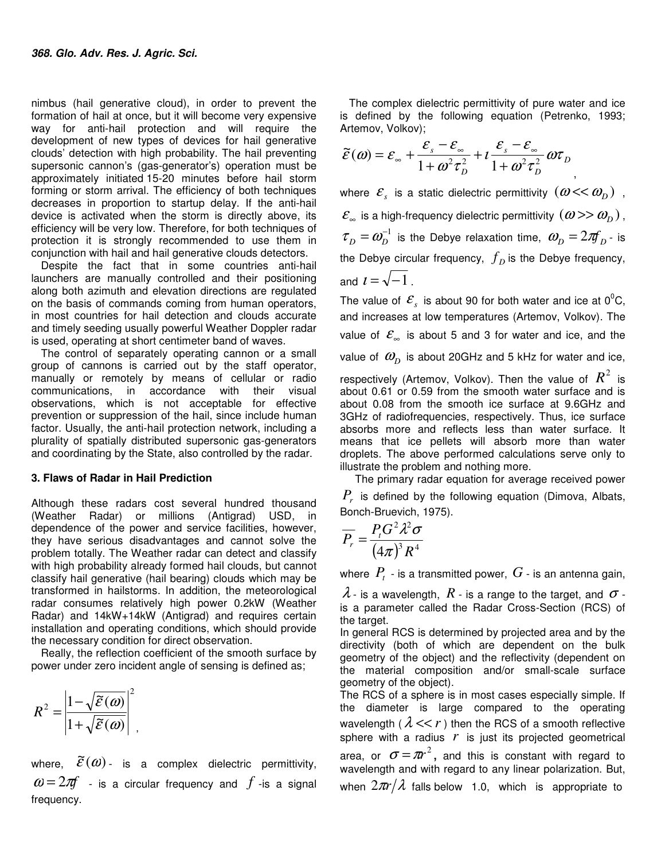nimbus (hail generative cloud), in order to prevent the formation of hail at once, but it will become very expensive way for anti-hail protection and will require the development of new types of devices for hail generative clouds' detection with high probability. The hail preventing supersonic cannon's (gas-generator's) operation must be approximately initiated 15-20 minutes before hail storm forming or storm arrival. The efficiency of both techniques decreases in proportion to startup delay. If the anti-hail device is activated when the storm is directly above, its efficiency will be very low. Therefore, for both techniques of protection it is strongly recommended to use them in conjunction with hail and hail generative clouds detectors.

Despite the fact that in some countries anti-hail launchers are manually controlled and their positioning along both azimuth and elevation directions are regulated on the basis of commands coming from human operators, in most countries for hail detection and clouds accurate and timely seeding usually powerful Weather Doppler radar is used, operating at short centimeter band of waves.

The control of separately operating cannon or a small group of cannons is carried out by the staff operator, manually or remotely by means of cellular or radio communications, in accordance with their visual observations, which is not acceptable for effective prevention or suppression of the hail, since include human factor. Usually, the anti-hail protection network, including a plurality of spatially distributed supersonic gas-generators and coordinating by the State, also controlled by the radar.

#### **3. Flaws of Radar in Hail Prediction**

Although these radars cost several hundred thousand (Weather Radar) or millions (Antigrad) USD, in dependence of the power and service facilities, however, they have serious disadvantages and cannot solve the problem totally. The Weather radar can detect and classify with high probability already formed hail clouds, but cannot classify hail generative (hail bearing) clouds which may be transformed in hailstorms. In addition, the meteorological radar consumes relatively high power 0.2kW (Weather Radar) and 14kW+14kW (Antigrad) and requires certain installation and operating conditions, which should provide the necessary condition for direct observation.

Really, the reflection coefficient of the smooth surface by power under zero incident angle of sensing is defined as;

$$
R^{2} = \left| \frac{1 - \sqrt{\widetilde{\mathcal{E}}(\omega)}}{1 + \sqrt{\widetilde{\mathcal{E}}(\omega)}} \right|^{2},
$$

where,  $\widetilde{\mathcal{E}}(\omega)$ - is a complex dielectric permittivity,  $\omega = 2\pi f$  - is a circular frequency and  $f$  -is a signal frequency.

 The complex dielectric permittivity of pure water and ice is defined by the following equation (Petrenko, 1993; Artemov, Volkov);

,

$$
\widetilde{\mathcal{E}}(\omega) = \mathcal{E}_{\infty} + \frac{\mathcal{E}_{s} - \mathcal{E}_{\infty}}{1 + \omega^{2} \tau_{D}^{2}} + l \frac{\mathcal{E}_{s} - \mathcal{E}_{\infty}}{1 + \omega^{2} \tau_{D}^{2}} \omega \tau_{D}
$$

where  $\mathcal{E}_{s}$  is a static dielectric permittivity  $(\omega \! < \! \epsilon \omega_{\scriptscriptstyle D})$  ,  $\mathcal{E}_{\infty}$  is a high-frequency dielectric permittivity  $\left(\omega\right>>\omega_{\scriptscriptstyle D}^{\phantom i}\right),$  $\tau_D = \omega_D^{-1}$  is the Debye relaxation time,  $\omega_D = 2\pi f_D$ - is the Debye circular frequency,  $f^{}_{\!D}$  is the Debye frequency, and  $t = \sqrt{-1}$ .

The value of  $\mathcal{E}_s$  is about 90 for both water and ice at 0<sup>0</sup>C, and increases at low temperatures (Artemov, Volkov). The value of  $\mathcal{E}_{\infty}$  is about 5 and 3 for water and ice, and the value of  $\omega_{\text{p}}$  is about 20GHz and 5 kHz for water and ice,

respectively (Artemov, Volkov). Then the value of  $R^2$  is about 0.61 or 0.59 from the smooth water surface and is about 0.08 from the smooth ice surface at 9.6GHz and 3GHz of radiofrequencies, respectively. Thus, ice surface absorbs more and reflects less than water surface. It means that ice pellets will absorb more than water droplets. The above performed calculations serve only to illustrate the problem and nothing more.

 The primary radar equation for average received power *Pr* is defined by the following equation (Dimova, Albats, Bonch-Bruevich, 1975).

$$
\overline{P_r} = \frac{P_t G^2 \lambda^2 \sigma}{\left(4\pi\right)^3 R^4}
$$

where  $\emph{P}_{\emph{t}}$  - is a transmitted power,  $G$  - is an antenna gain,

 $\lambda$  - is a wavelength,  $R$  - is a range to the target, and  $\sigma$  is a parameter called the Radar Cross-Section (RCS) of the target.

In general RCS is determined by projected area and by the directivity (both of which are dependent on the bulk geometry of the object) and the reflectivity (dependent on the material composition and/or small-scale surface geometry of the object).

The RCS of a sphere is in most cases especially simple. If the diameter is large compared to the operating wavelength ( $\lambda \ll r$ ) then the RCS of a smooth reflective sphere with a radius  $r$  is just its projected geometrical area, or  $\sigma \!=\! {\pi \! r}^{2}$ , and this is constant with regard to wavelength and with regard to any linear polarization. But, when  $2\pi r/\lambda$  falls below 1.0, which is appropriate to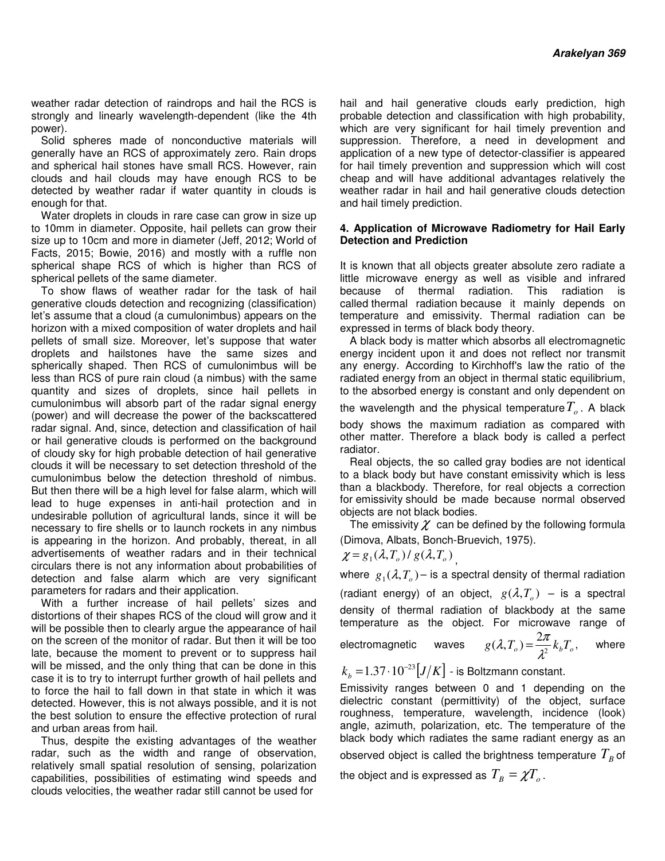weather radar detection of raindrops and hail the RCS is strongly and linearly wavelength-dependent (like the 4th power).

Solid spheres made of nonconductive materials will generally have an RCS of approximately zero. Rain drops and spherical hail stones have small RCS. However, rain clouds and hail clouds may have enough RCS to be detected by weather radar if water quantity in clouds is enough for that.

Water droplets in clouds in rare case can grow in size up to 10mm in diameter. Opposite, hail pellets can grow their size up to 10cm and more in diameter (Jeff, 2012; World of Facts, 2015; Bowie, 2016) and mostly with a ruffle non spherical shape RCS of which is higher than RCS of spherical pellets of the same diameter.

To show flaws of weather radar for the task of hail generative clouds detection and recognizing (classification) let's assume that a cloud (a cumulonimbus) appears on the horizon with a mixed composition of water droplets and hail pellets of small size. Moreover, let's suppose that water droplets and hailstones have the same sizes and spherically shaped. Then RCS of cumulonimbus will be less than RCS of pure rain cloud (a nimbus) with the same quantity and sizes of droplets, since hail pellets in cumulonimbus will absorb part of the radar signal energy (power) and will decrease the power of the backscattered radar signal. And, since, detection and classification of hail or hail generative clouds is performed on the background of cloudy sky for high probable detection of hail generative clouds it will be necessary to set detection threshold of the cumulonimbus below the detection threshold of nimbus. But then there will be a high level for false alarm, which will lead to huge expenses in anti-hail protection and in undesirable pollution of agricultural lands, since it will be necessary to fire shells or to launch rockets in any nimbus is appearing in the horizon. And probably, thereat, in all advertisements of weather radars and in their technical circulars there is not any information about probabilities of detection and false alarm which are very significant parameters for radars and their application.

With a further increase of hail pellets' sizes and distortions of their shapes RCS of the cloud will grow and it will be possible then to clearly argue the appearance of hail on the screen of the monitor of radar. But then it will be too late, because the moment to prevent or to suppress hail will be missed, and the only thing that can be done in this case it is to try to interrupt further growth of hail pellets and to force the hail to fall down in that state in which it was detected. However, this is not always possible, and it is not the best solution to ensure the effective protection of rural and urban areas from hail.

Thus, despite the existing advantages of the weather radar, such as the width and range of observation, relatively small spatial resolution of sensing, polarization capabilities, possibilities of estimating wind speeds and clouds velocities, the weather radar still cannot be used for

hail and hail generative clouds early prediction, high probable detection and classification with high probability, which are very significant for hail timely prevention and suppression. Therefore, a need in development and application of a new type of detector-classifier is appeared for hail timely prevention and suppression which will cost cheap and will have additional advantages relatively the weather radar in hail and hail generative clouds detection and hail timely prediction.

#### **4. Application of Microwave Radiometry for Hail Early Detection and Prediction**

It is known that all objects greater absolute zero radiate a little microwave energy as well as visible and infrared because of thermal radiation. This radiation is called thermal radiation because it mainly depends on temperature and emissivity. Thermal radiation can be expressed in terms of black body theory.

A black body is matter which absorbs all electromagnetic energy incident upon it and does not reflect nor transmit any energy. According to Kirchhoff's law the ratio of the radiated energy from an object in thermal static equilibrium, to the absorbed energy is constant and only dependent on the wavelength and the physical temperature*T<sup>o</sup>* . A black

body shows the maximum radiation as compared with other matter. Therefore a black body is called a perfect radiator.

Real objects, the so called gray bodies are not identical to a black body but have constant emissivity which is less than a blackbody. Therefore, for real objects a correction for emissivity should be made because normal observed objects are not black bodies.

The emissivity  $\chi$  can be defined by the following formula (Dimova, Albats, Bonch-Bruevich, 1975).

$$
\chi = g_1(\lambda, T_o) / g(\lambda, T_o),
$$

where  $g_1(\lambda, T_o)$  – is a spectral density of thermal radiation (radiant energy) of an object,  $g(\lambda, T_o)$  – is a spectral density of thermal radiation of blackbody at the same temperature as the object. For microwave range of

electromagnetic waves  $g(\lambda,T_o) = \frac{2\pi}{\lambda^2} k_b T_o$  $\lambda$ ,  $T_o$ ) =  $\frac{2\pi}{a^2}k_bT_o$ , where

 $k_{\scriptscriptstyle b} =$   $1.37 \cdot 10^{-23} [J/K]$  - is Boltzmann constant.

Emissivity ranges between 0 and 1 depending on the dielectric constant (permittivity) of the object, surface roughness, temperature, wavelength, incidence (look) angle, azimuth, polarization, etc. The temperature of the black body which radiates the same radiant energy as an observed object is called the brightness temperature  $T_{\scriptscriptstyle B}$  of the object and is expressed as  $T_{\scriptscriptstyle B} = \chi T_o$  .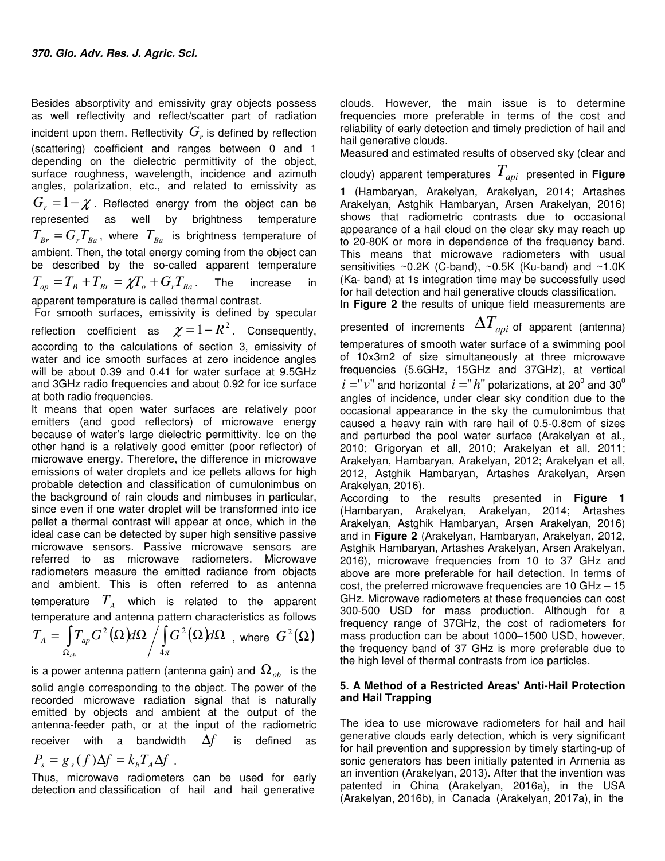Besides absorptivity and emissivity gray objects possess as well reflectivity and reflect/scatter part of radiation incident upon them. Reflectivity  $G_r$  is defined by reflection (scattering) coefficient and ranges between 0 and 1 depending on the dielectric permittivity of the object, surface roughness, wavelength, incidence and azimuth angles, polarization, etc., and related to emissivity as  $G_r = 1 - \chi$ . Reflected energy from the object can be represented as well by brightness temperature  $T_{Br} = G_r T_{Ba}$ , where  $T_{Ba}$  is brightness temperature of ambient. Then, the total energy coming from the object can be described by the so-called apparent temperature  $T_{ap} = T_B + T_{Br} = \chi T_o + G_r T_{Ba}$ . The increase in apparent temperature is called thermal contrast.

 For smooth surfaces, emissivity is defined by specular reflection coefficient as  $\chi = 1 - R^2$ . Consequently, according to the calculations of section 3, emissivity of water and ice smooth surfaces at zero incidence angles will be about 0.39 and 0.41 for water surface at 9.5GHz and 3GHz radio frequencies and about 0.92 for ice surface at both radio frequencies.

It means that open water surfaces are relatively poor emitters (and good reflectors) of microwave energy because of water's large dielectric permittivity. Ice on the other hand is a relatively good emitter (poor reflector) of microwave energy. Therefore, the difference in microwave emissions of water droplets and ice pellets allows for high probable detection and classification of cumulonimbus on the background of rain clouds and nimbuses in particular, since even if one water droplet will be transformed into ice pellet a thermal contrast will appear at once, which in the ideal case can be detected by super high sensitive passive microwave sensors. Passive microwave sensors are referred to as microwave radiometers. Microwave radiometers measure the emitted radiance from objects and ambient. This is often referred to as antenna temperature  $T_A$  which is related to the apparent temperature and antenna pattern characteristics as follows  $\int T_{_{ap}} G^{\,2}(\Omega)d\Omega \left/ \int\! G^{\,2}(\Omega)d\Omega \right.$ Ω  $T_A = T_{ap} G^2(\Omega) d\Omega / \int G^2(\Omega) d\Omega$ *ob*  $A = \begin{bmatrix} a & a \\ a & b \end{bmatrix}$ 4<sup>π</sup>  $\mathcal{C}^2(\Omega)d\Omega \bigm / \bigl\lceil G^2(\Omega)d\Omega \bigr\rceil$  , where  $\,G^2(\Omega)$ 

is a power antenna pattern (antenna gain) and  $\Omega_{ab}$  is the solid angle corresponding to the object. The power of the recorded microwave radiation signal that is naturally emitted by objects and ambient at the output of the antenna-feeder path, or at the input of the radiometric receiver with a bandwidth ∆*f* is defined as

$$
P_s = g_s(f)\Delta f = k_b T_A \Delta f.
$$

Thus, microwave radiometers can be used for early detection and classification of hail and hail generative

clouds. However, the main issue is to determine frequencies more preferable in terms of the cost and reliability of early detection and timely prediction of hail and hail generative clouds.

Measured and estimated results of observed sky (clear and

cloudy) apparent temperatures  $T_{api}$  presented in **Figure** 

**1** (Hambaryan, Arakelyan, Arakelyan, 2014; Artashes Arakelyan, Astghik Hambaryan, Arsen Arakelyan, 2016) shows that radiometric contrasts due to occasional appearance of a hail cloud on the clear sky may reach up to 20-80K or more in dependence of the frequency band. This means that microwave radiometers with usual sensitivities ~0.2K (C-band), ~0.5K (Ku-band) and ~1.0K (Ka- band) at 1s integration time may be successfully used for hail detection and hail generative clouds classification. In **Figure 2** the results of unique field measurements are

presented of increments ∆*Tapi* of apparent (antenna) temperatures of smooth water surface of a swimming pool of 10x3m2 of size simultaneously at three microwave frequencies (5.6GHz, 15GHz and 37GHz), at vertical  $i =$  " $v$ " and horizontal  $\,i =$  " $h$ " polarizations, at 20 $^{\rm o}$  and 30 $^{\rm o}$ angles of incidence, under clear sky condition due to the occasional appearance in the sky the cumulonimbus that caused a heavy rain with rare hail of 0.5-0.8cm of sizes and perturbed the pool water surface (Arakelyan et al., 2010; Grigoryan et all, 2010; Arakelyan et all, 2011; Arakelyan, Hambaryan, Arakelyan, 2012; Arakelyan et all, 2012, Astghik Hambaryan, Artashes Arakelyan, Arsen Arakelyan, 2016).

According to the results presented in **Figure 1** (Hambaryan, Arakelyan, Arakelyan, 2014; Artashes Arakelyan, Astghik Hambaryan, Arsen Arakelyan, 2016) and in **Figure 2** (Arakelyan, Hambaryan, Arakelyan, 2012, Astghik Hambaryan, Artashes Arakelyan, Arsen Arakelyan, 2016), microwave frequencies from 10 to 37 GHz and above are more preferable for hail detection. In terms of cost, the preferred microwave frequencies are 10 GHz – 15 GHz. Microwave radiometers at these frequencies can cost 300-500 USD for mass production. Although for a frequency range of 37GHz, the cost of radiometers for mass production can be about 1000–1500 USD, however, the frequency band of 37 GHz is more preferable due to the high level of thermal contrasts from ice particles.

#### **5. A Method of a Restricted Areas' Anti-Hail Protection and Hail Trapping**

The idea to use microwave radiometers for hail and hail generative clouds early detection, which is very significant for hail prevention and suppression by timely starting-up of sonic generators has been initially patented in Armenia as an invention (Arakelyan, 2013). After that the invention was patented in China (Arakelyan, 2016a), in the USA (Arakelyan, 2016b), in Canada (Arakelyan, 2017a), in the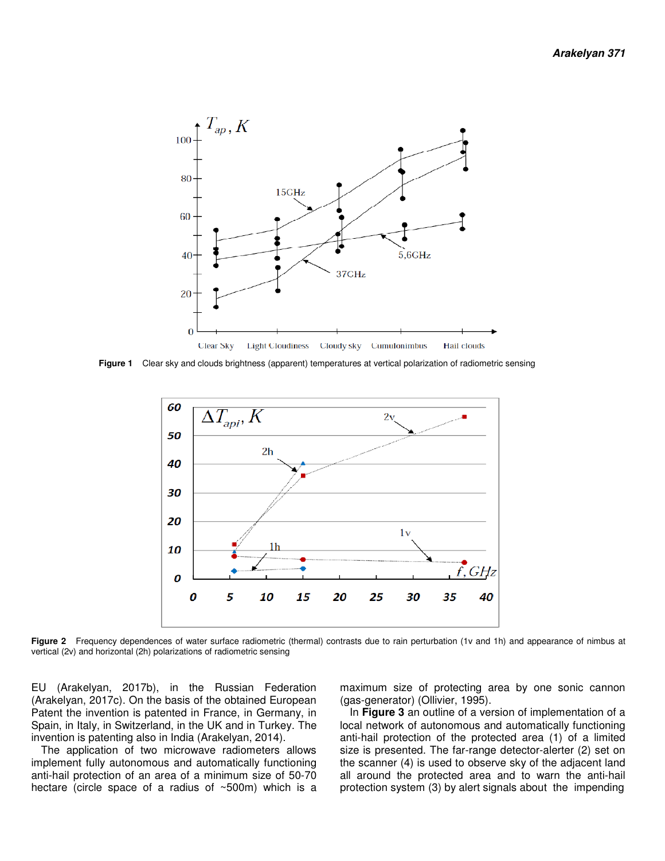

 **Figure 1** Clear sky and clouds brightness (apparent) temperatures at vertical polarization of radiometric sensing



**Figure 2** Frequency dependences of water surface radiometric (thermal) contrasts due to rain perturbation (1v and 1h) and appearance of nimbus at vertical (2v) and horizontal (2h) polarizations of radiometric sensing

EU (Arakelyan, 2017b), in the Russian Federation (Arakelyan, 2017c). On the basis of the obtained European Patent the invention is patented in France, in Germany, in Spain, in Italy, in Switzerland, in the UK and in Turkey. The invention is patenting also in India (Arakelyan, 2014).

The application of two microwave radiometers allows implement fully autonomous and automatically functioning anti-hail protection of an area of a minimum size of 50-70 hectare (circle space of a radius of ~500m) which is a

maximum size of protecting area by one sonic cannon (gas-generator) (Ollivier, 1995).

In **Figure 3** an outline of a version of implementation of a local network of autonomous and automatically functioning anti-hail protection of the protected area (1) of a limited size is presented. The far-range detector-alerter (2) set on the scanner (4) is used to observe sky of the adjacent land all around the protected area and to warn the anti-hail protection system (3) by alert signals about the impending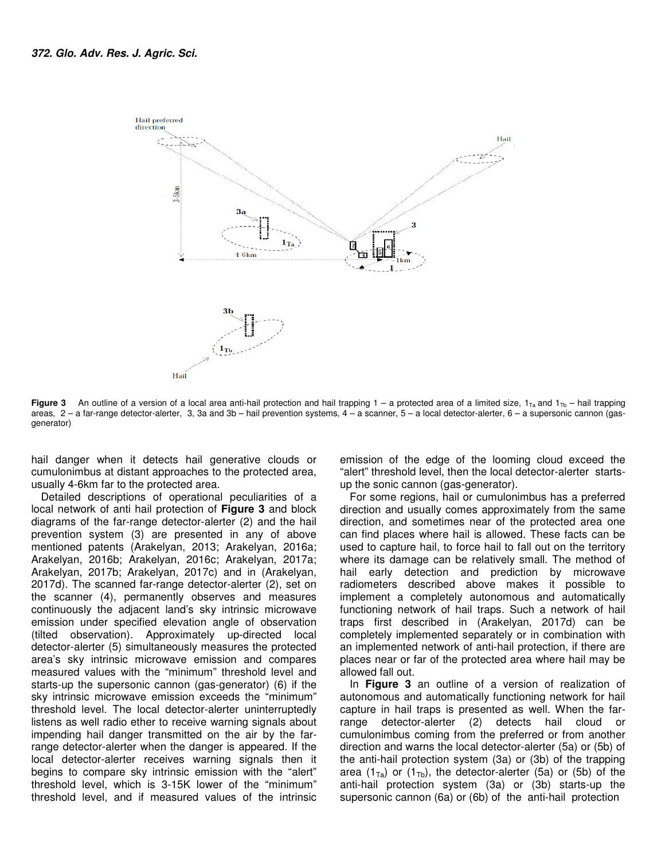

**Figure 3** An outline of a version of a local area anti-hail protection and hail trapping  $1 - a$  protected area of a limited size,  $1_{Ta}$  and  $1_{Tb} -$  hail trapping areas, 2 – a far-range detector-alerter, 3, 3a and 3b – hail prevention systems, 4 – a scanner, 5 – a local detector-alerter, 6 – a supersonic cannon (gasgenerator)

hail danger when it detects hail generative clouds or cumulonimbus at distant approaches to the protected area, usually 4-6km far to the protected area.

Detailed descriptions of operational peculiarities of a local network of anti hail protection of **Figure 3** and block diagrams of the far-range detector-alerter (2) and the hail prevention system (3) are presented in any of above mentioned patents (Arakelyan, 2013; Arakelyan, 2016a; Arakelyan, 2016b; Arakelyan, 2016c; Arakelyan, 2017a; Arakelyan, 2017b; Arakelyan, 2017c) and in (Arakelyan, 2017d). The scanned far-range detector-alerter (2), set on the scanner (4), permanently observes and measures continuously the adjacent land's sky intrinsic microwave emission under specified elevation angle of observation (tilted observation). Approximately up-directed local detector-alerter (5) simultaneously measures the protected area's sky intrinsic microwave emission and compares measured values with the "minimum" threshold level and starts-up the supersonic cannon (gas-generator) (6) if the sky intrinsic microwave emission exceeds the "minimum" threshold level. The local detector-alerter uninterruptedly listens as well radio ether to receive warning signals about impending hail danger transmitted on the air by the farrange detector-alerter when the danger is appeared. If the local detector-alerter receives warning signals then it begins to compare sky intrinsic emission with the "alert" threshold level, which is 3-15K lower of the "minimum" threshold level, and if measured values of the intrinsic

emission of the edge of the looming cloud exceed the "alert" threshold level, then the local detector-alerter startsup the sonic cannon (gas-generator).

For some regions, hail or cumulonimbus has a preferred direction and usually comes approximately from the same direction, and sometimes near of the protected area one can find places where hail is allowed. These facts can be used to capture hail, to force hail to fall out on the territory where its damage can be relatively small. The method of hail early detection and prediction by microwave radiometers described above makes it possible to implement a completely autonomous and automatically functioning network of hail traps. Such a network of hail traps first described in (Arakelyan, 2017d) can be completely implemented separately or in combination with an implemented network of anti-hail protection, if there are places near or far of the protected area where hail may be allowed fall out.

In **Figure 3** an outline of a version of realization of autonomous and automatically functioning network for hail capture in hail traps is presented as well. When the farrange detector-alerter (2) detects hail cloud or cumulonimbus coming from the preferred or from another direction and warns the local detector-alerter (5a) or (5b) of the anti-hail protection system (3a) or (3b) of the trapping area  $(1_{Ta})$  or  $(1_{Tb})$ , the detector-alerter (5a) or (5b) of the anti-hail protection system (3a) or (3b) starts-up the supersonic cannon (6a) or (6b) of the anti-hail protection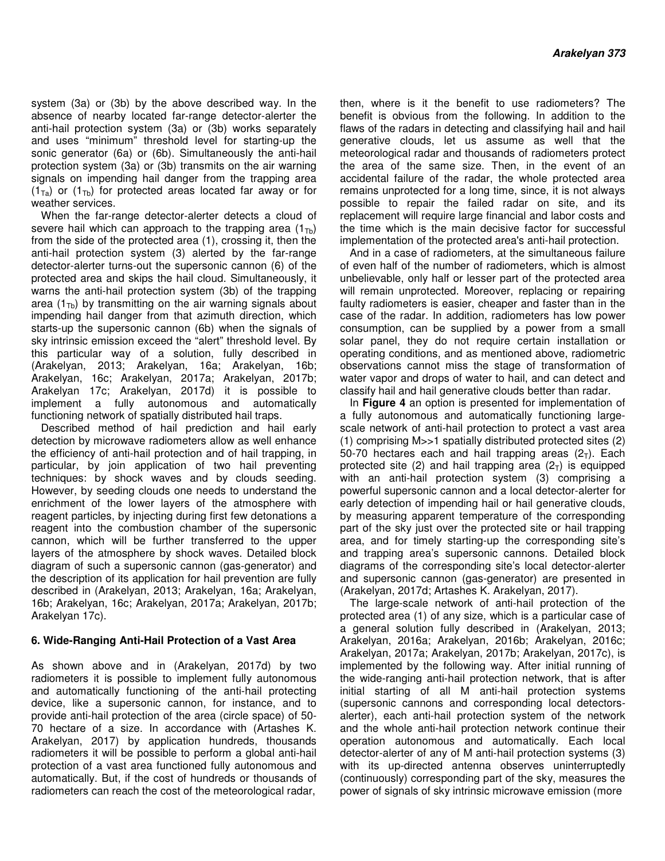system (3a) or (3b) by the above described way. In the absence of nearby located far-range detector-alerter the anti-hail protection system (3a) or (3b) works separately and uses "minimum" threshold level for starting-up the sonic generator (6a) or (6b). Simultaneously the anti-hail protection system (3a) or (3b) transmits on the air warning signals on impending hail danger from the trapping area  $(1_{Ta})$  or  $(1_{Tb})$  for protected areas located far away or for weather services.

When the far-range detector-alerter detects a cloud of severe hail which can approach to the trapping area  $(1_{T<sub>b</sub>})$ from the side of the protected area (1), crossing it, then the anti-hail protection system (3) alerted by the far-range detector-alerter turns-out the supersonic cannon (6) of the protected area and skips the hail cloud. Simultaneously, it warns the anti-hail protection system (3b) of the trapping area  $(1_{\text{Tb}})$  by transmitting on the air warning signals about impending hail danger from that azimuth direction, which starts-up the supersonic cannon (6b) when the signals of sky intrinsic emission exceed the "alert" threshold level. By this particular way of a solution, fully described in (Arakelyan, 2013; Arakelyan, 16a; Arakelyan, 16b; Arakelyan, 16c; Arakelyan, 2017a; Arakelyan, 2017b; Arakelyan 17c; Arakelyan, 2017d) it is possible to implement a fully autonomous and automatically functioning network of spatially distributed hail traps.

Described method of hail prediction and hail early detection by microwave radiometers allow as well enhance the efficiency of anti-hail protection and of hail trapping, in particular, by join application of two hail preventing techniques: by shock waves and by clouds seeding. However, by seeding clouds one needs to understand the enrichment of the lower layers of the atmosphere with reagent particles, by injecting during first few detonations a reagent into the combustion chamber of the supersonic cannon, which will be further transferred to the upper layers of the atmosphere by shock waves. Detailed block diagram of such a supersonic cannon (gas-generator) and the description of its application for hail prevention are fully described in (Arakelyan, 2013; Arakelyan, 16a; Arakelyan, 16b; Arakelyan, 16c; Arakelyan, 2017a; Arakelyan, 2017b; Arakelyan 17c).

### **6. Wide-Ranging Anti-Hail Protection of a Vast Area**

As shown above and in (Arakelyan, 2017d) by two radiometers it is possible to implement fully autonomous and automatically functioning of the anti-hail protecting device, like a supersonic cannon, for instance, and to provide anti-hail protection of the area (circle space) of 50- 70 hectare of a size. In accordance with (Artashes K. Arakelyan, 2017) by application hundreds, thousands radiometers it will be possible to perform a global anti-hail protection of a vast area functioned fully autonomous and automatically. But, if the cost of hundreds or thousands of radiometers can reach the cost of the meteorological radar,

then, where is it the benefit to use radiometers? The benefit is obvious from the following. In addition to the flaws of the radars in detecting and classifying hail and hail generative clouds, let us assume as well that the meteorological radar and thousands of radiometers protect the area of the same size. Then, in the event of an accidental failure of the radar, the whole protected area remains unprotected for a long time, since, it is not always possible to repair the failed radar on site, and its replacement will require large financial and labor costs and the time which is the main decisive factor for successful implementation of the protected area's anti-hail protection.

And in a case of radiometers, at the simultaneous failure of even half of the number of radiometers, which is almost unbelievable, only half or lesser part of the protected area will remain unprotected. Moreover, replacing or repairing faulty radiometers is easier, cheaper and faster than in the case of the radar. In addition, radiometers has low power consumption, can be supplied by a power from a small solar panel, they do not require certain installation or operating conditions, and as mentioned above, radiometric observations cannot miss the stage of transformation of water vapor and drops of water to hail, and can detect and classify hail and hail generative clouds better than radar.

In **Figure 4** an option is presented for implementation of a fully autonomous and automatically functioning largescale network of anti-hail protection to protect a vast area (1) comprising M>>1 spatially distributed protected sites (2) 50-70 hectares each and hail trapping areas  $(2<sub>T</sub>)$ . Each protected site (2) and hail trapping area ( $2<sub>T</sub>$ ) is equipped with an anti-hail protection system (3) comprising a powerful supersonic cannon and a local detector-alerter for early detection of impending hail or hail generative clouds, by measuring apparent temperature of the corresponding part of the sky just over the protected site or hail trapping area, and for timely starting-up the corresponding site's and trapping area's supersonic cannons. Detailed block diagrams of the corresponding site's local detector-alerter and supersonic cannon (gas-generator) are presented in (Arakelyan, 2017d; Artashes K. Arakelyan, 2017).

The large-scale network of anti-hail protection of the protected area (1) of any size, which is a particular case of a general solution fully described in (Arakelyan, 2013; Arakelyan, 2016a; Arakelyan, 2016b; Arakelyan, 2016c; Arakelyan, 2017a; Arakelyan, 2017b; Arakelyan, 2017c), is implemented by the following way. After initial running of the wide-ranging anti-hail protection network, that is after initial starting of all M anti-hail protection systems (supersonic cannons and corresponding local detectorsalerter), each anti-hail protection system of the network and the whole anti-hail protection network continue their operation autonomous and automatically. Each local detector-alerter of any of M anti-hail protection systems (3) with its up-directed antenna observes uninterruptedly (continuously) corresponding part of the sky, measures the power of signals of sky intrinsic microwave emission (more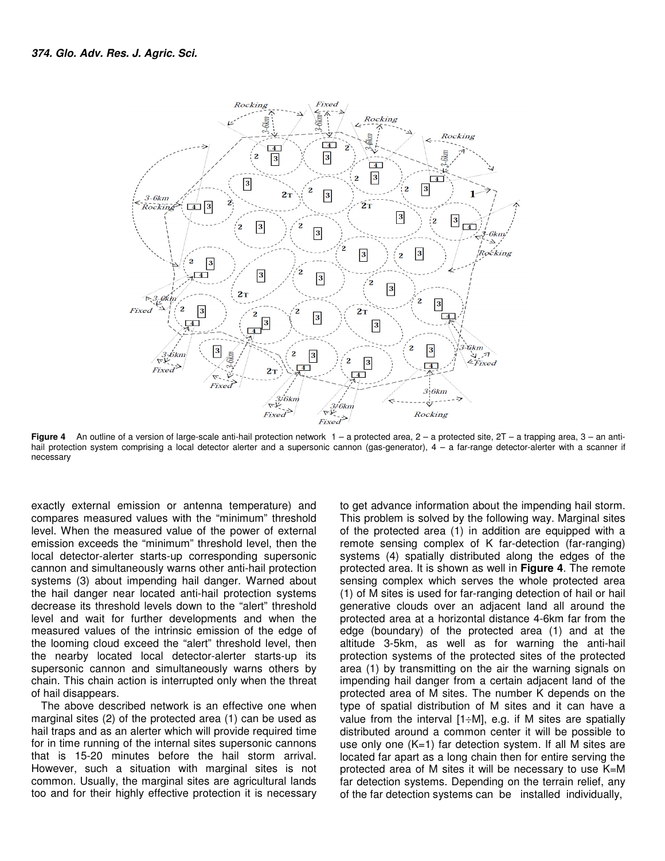

Figure 4 An outline of a version of large-scale anti-hail protection network  $1 - a$  protected area,  $2 - a$  protected site,  $2T - a$  trapping area,  $3 - a$ n antihail protection system comprising a local detector alerter and a supersonic cannon (gas-generator), 4 - a far-range detector-alerter with a scanner if necessary

exactly external emission or antenna temperature) and compares measured values with the "minimum" threshold level. When the measured value of the power of external emission exceeds the "minimum" threshold level, then the local detector-alerter starts-up corresponding supersonic cannon and simultaneously warns other anti-hail protection systems (3) about impending hail danger. Warned about the hail danger near located anti-hail protection systems decrease its threshold levels down to the "alert" threshold level and wait for further developments and when the measured values of the intrinsic emission of the edge of the looming cloud exceed the "alert" threshold level, then the nearby located local detector-alerter starts-up its supersonic cannon and simultaneously warns others by chain. This chain action is interrupted only when the threat of hail disappears.

The above described network is an effective one when marginal sites (2) of the protected area (1) can be used as hail traps and as an alerter which will provide required time for in time running of the internal sites supersonic cannons that is 15-20 minutes before the hail storm arrival. However, such a situation with marginal sites is not common. Usually, the marginal sites are agricultural lands too and for their highly effective protection it is necessary to get advance information about the impending hail storm. This problem is solved by the following way. Marginal sites of the protected area (1) in addition are equipped with a remote sensing complex of K far-detection (far-ranging) systems (4) spatially distributed along the edges of the protected area. It is shown as well in **Figure 4**. The remote sensing complex which serves the whole protected area (1) of M sites is used for far-ranging detection of hail or hail generative clouds over an adjacent land all around the protected area at a horizontal distance 4-6km far from the edge (boundary) of the protected area (1) and at the altitude 3-5km, as well as for warning the anti-hail protection systems of the protected sites of the protected area (1) by transmitting on the air the warning signals on impending hail danger from a certain adjacent land of the protected area of M sites. The number K depends on the type of spatial distribution of M sites and it can have a value from the interval [1÷M], e.g. if M sites are spatially distributed around a common center it will be possible to use only one  $(K=1)$  far detection system. If all M sites are located far apart as a long chain then for entire serving the protected area of M sites it will be necessary to use K=M far detection systems. Depending on the terrain relief, any of the far detection systems can be installed individually,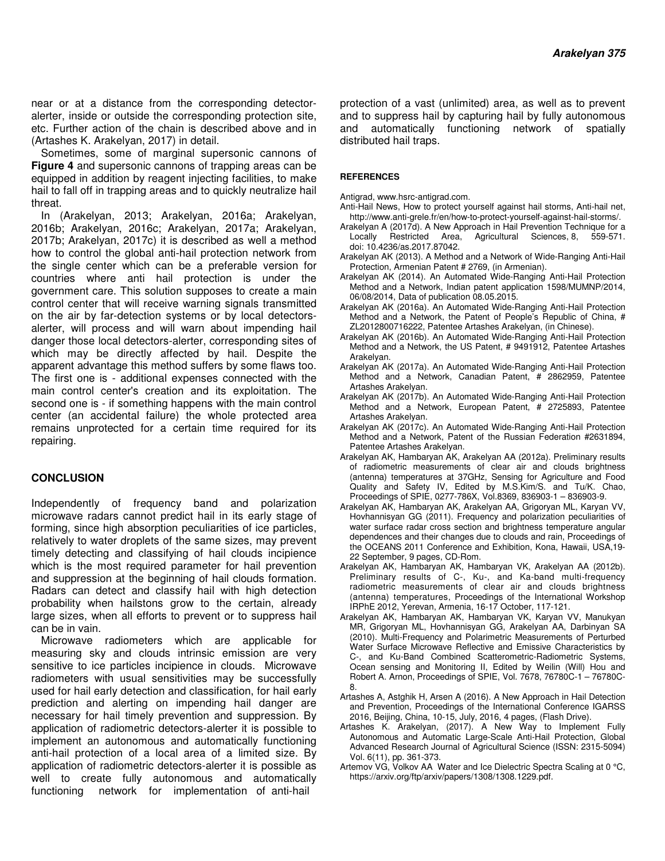near or at a distance from the corresponding detectoralerter, inside or outside the corresponding protection site, etc. Further action of the chain is described above and in (Artashes K. Arakelyan, 2017) in detail.

Sometimes, some of marginal supersonic cannons of **Figure 4** and supersonic cannons of trapping areas can be equipped in addition by reagent injecting facilities, to make hail to fall off in trapping areas and to quickly neutralize hail threat.

In (Arakelyan, 2013; Arakelyan, 2016a; Arakelyan, 2016b; Arakelyan, 2016c; Arakelyan, 2017a; Arakelyan, 2017b; Arakelyan, 2017c) it is described as well a method how to control the global anti-hail protection network from the single center which can be a preferable version for countries where anti hail protection is under the government care. This solution supposes to create a main control center that will receive warning signals transmitted on the air by far-detection systems or by local detectorsalerter, will process and will warn about impending hail danger those local detectors-alerter, corresponding sites of which may be directly affected by hail. Despite the apparent advantage this method suffers by some flaws too. The first one is - additional expenses connected with the main control center's creation and its exploitation. The second one is - if something happens with the main control center (an accidental failure) the whole protected area remains unprotected for a certain time required for its repairing.

#### **CONCLUSION**

Independently of frequency band and polarization microwave radars cannot predict hail in its early stage of forming, since high absorption peculiarities of ice particles, relatively to water droplets of the same sizes, may prevent timely detecting and classifying of hail clouds incipience which is the most required parameter for hail prevention and suppression at the beginning of hail clouds formation. Radars can detect and classify hail with high detection probability when hailstons grow to the certain, already large sizes, when all efforts to prevent or to suppress hail can be in vain.

Microwave radiometers which are applicable for measuring sky and clouds intrinsic emission are very sensitive to ice particles incipience in clouds. Microwave radiometers with usual sensitivities may be successfully used for hail early detection and classification, for hail early prediction and alerting on impending hail danger are necessary for hail timely prevention and suppression. By application of radiometric detectors-alerter it is possible to implement an autonomous and automatically functioning anti-hail protection of a local area of a limited size. By application of radiometric detectors-alerter it is possible as well to create fully autonomous and automatically functioning network for implementation of anti-hail

protection of a vast (unlimited) area, as well as to prevent and to suppress hail by capturing hail by fully autonomous and automatically functioning network of spatially distributed hail traps.

#### **REFERENCES**

Antigrad, www.hsrc-antigrad.com.

- Anti-Hail News, How to protect yourself against hail storms, Anti-hail net, http://www.anti-grele.fr/en/how-to-protect-yourself-against-hail-storms/.
- Arakelyan A (2017d). A New Approach in Hail Prevention Technique for a Locally Restricted Area, Agricultural Sciences, 8, 559-571. doi: 10.4236/as.2017.87042.
- Arakelyan AK (2013). A Method and a Network of Wide-Ranging Anti-Hail Protection, Armenian Patent # 2769, (in Armenian).
- Arakelyan AK (2014). An Automated Wide-Ranging Anti-Hail Protection Method and a Network, Indian patent application 1598/MUMNP/2014, 06/08/2014, Data of publication 08.05.2015.
- Arakelyan AK (2016a). An Automated Wide-Ranging Anti-Hail Protection Method and a Network, the Patent of People's Republic of China, # ZL2012800716222, Patentee Artashes Arakelyan, (in Chinese).
- Arakelyan AK (2016b). An Automated Wide-Ranging Anti-Hail Protection Method and a Network, the US Patent, # 9491912, Patentee Artashes Arakelyan.
- Arakelyan AK (2017a). An Automated Wide-Ranging Anti-Hail Protection Method and a Network, Canadian Patent, # 2862959, Patentee Artashes Arakelyan.
- Arakelyan AK (2017b). An Automated Wide-Ranging Anti-Hail Protection Method and a Network, European Patent, # 2725893, Patentee Artashes Arakelyan.
- Arakelyan AK (2017c). An Automated Wide-Ranging Anti-Hail Protection Method and a Network, Patent of the Russian Federation #2631894, Patentee Artashes Arakelyan.
- Arakelyan AK, Hambaryan AK, Arakelyan AA (2012a). Preliminary results of radiometric measurements of clear air and clouds brightness (antenna) temperatures at 37GHz, Sensing for Agriculture and Food Quality and Safety IV, Edited by M.S.Kim/S. and Tu/K. Chao, Proceedings of SPIE, 0277-786X, Vol.8369, 836903-1 – 836903-9.
- Arakelyan AK, Hambaryan AK, Arakelyan AA, Grigoryan ML, Karyan VV, Hovhannisyan GG (2011). Frequency and polarization peculiarities of water surface radar cross section and brightness temperature angular dependences and their changes due to clouds and rain, Proceedings of the OCEANS 2011 Conference and Exhibition, Kona, Hawaii, USA,19- 22 September, 9 pages, CD-Rom.
- Arakelyan AK, Hambaryan AK, Hambaryan VK, Arakelyan AA (2012b). Preliminary results of C-, Ku-, and Ka-band multi-frequency radiometric measurements of clear air and clouds brightness (antenna) temperatures, Proceedings of the International Workshop IRPhE 2012, Yerevan, Armenia, 16-17 October, 117-121.
- Arakelyan AK, Hambaryan AK, Hambaryan VK, Karyan VV, Manukyan MR, Grigoryan ML, Hovhannisyan GG, Arakelyan AA, Darbinyan SA (2010). Multi-Frequency and Polarimetric Measurements of Perturbed Water Surface Microwave Reflective and Emissive Characteristics by C-, and Ku-Band Combined Scatterometric-Radiometric Systems, Ocean sensing and Monitoring II, Edited by Weilin (Will) Hou and Robert A. Arnon, Proceedings of SPIE, Vol. 7678, 76780C-1 – 76780C-8.
- Artashes A, Astghik H, Arsen A (2016). A New Approach in Hail Detection and Prevention, Proceedings of the International Conference IGARSS 2016, Beijing, China, 10-15, July, 2016, 4 pages, (Flash Drive).
- Artashes K. Arakelyan, (2017). A New Way to Implement Fully Autonomous and Automatic Large-Scale Anti-Hail Protection, Global Advanced Research Journal of Agricultural Science (ISSN: 2315-5094) Vol. 6(11), pp. 361-373.
- Artemov VG, Volkov AA Water and Ice Dielectric Spectra Scaling at 0 °C, https://arxiv.org/ftp/arxiv/papers/1308/1308.1229.pdf.